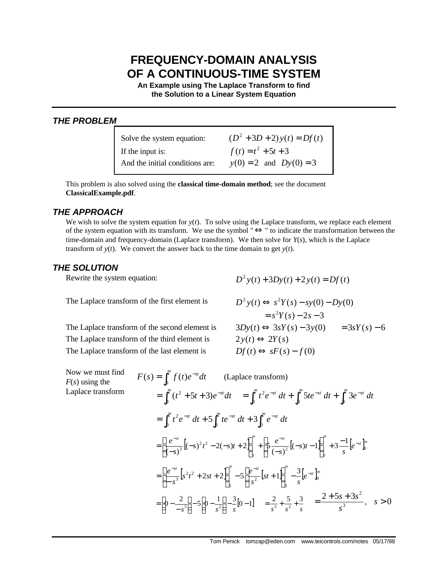# **FREQUENCY-DOMAIN ANALYSIS OF A CONTINUOUS-TIME SYSTEM**

**An Example using The Laplace Transform to find the Solution to a Linear System Equation**

## *THE PROBLEM*

| Solve the system equation:      | $(D^2 + 3D + 2)y(t) = Df(t)$ |
|---------------------------------|------------------------------|
| If the input is:                | $f(t) = t^2 + 5t + 3$        |
| And the initial conditions are: | $y(0) = 2$ and $Dy(0) = 3$   |

This problem is also solved using the **classical time-domain method**; see the document **ClassicalExample.pdf**.

#### *THE APPROACH*

We wish to solve the system equation for  $y(t)$ . To solve using the Laplace transform, we replace each element of the system equation with its transform. We use the symbol "⇔" to indicate the transformation between the time-domain and frequency-domain (Laplace transform). We then solve for  $Y(s)$ , which is the Laplace transform of  $y(t)$ . We convert the answer back to the time domain to get  $y(t)$ .

#### *THE SOLUTION*

The Laplace transform of the first element is

*The Laplace transform of the second element is* The Laplace transform of the third element is The Laplace transform of the last element is

Rewrite the system equation:  $D^2 y(t) + 3Dy(t) + 2y(t) = Df(t)$ 

$$
D^2 y(t) \Leftrightarrow s^2 Y(s) - sy(0) - Dy(0)
$$
  
=  $s^2 Y(s) - 2s - 3$   
 $3Dy(t) \Leftrightarrow 3sY(s) - 3y(0) = 3sY(s) - 6$   
 $2y(t) \Leftrightarrow 2Y(s)$   
 $Df(t) \Leftrightarrow sF(s) - f(0)$ 

Now we must find *F*(*s*) using the Laplace transform

$$
F(s) = \int_0^{\infty} f(t)e^{-st}dt \qquad \text{(Laplace transform)}
$$
  
\n
$$
= \int_0^{\infty} (t^2 + 5t + 3)e^{-st}dt = \int_0^{\infty} t^2e^{-st} dt + \int_0^{\infty} 5te^{-st} dt + \int_0^{\infty} 3e^{-st} dt
$$
  
\n
$$
= \int_0^{\infty} t^2e^{-st} dt + 5\int_0^{\infty} te^{-st} dt + 3\int_0^{\infty} e^{-st} dt
$$
  
\n
$$
= \left[\frac{e^{-st}}{(-s)^3} [(-s)^2t^2 - 2(-s)t + 2]\right]_0^{\infty} + \left[5\frac{e^{-st}}{(-s)^2} [(-s)t - 1]\right]_0^{\infty} + 3\frac{-1}{s} [e^{-st}]_0^{\infty}
$$
  
\n
$$
= \left[\frac{e^{-st}}{-s^3} [s^2t^2 + 2st + 2]\right]_0^{\infty} - 5\left[\frac{e^{-st}}{s^2} [st + 1]\right]_0^{\infty} - \frac{3}{s} [e^{-st}]_0^{\infty}
$$
  
\n
$$
= [0 - \frac{2}{-s^3}] - 5[0 - \frac{1}{s^2}] - \frac{3}{s} [0 - 1] = \frac{2}{s^3} + \frac{5}{s^2} + \frac{3}{s} = \frac{2 + 5s + 3s^2}{s^3}, \quad s > 0
$$